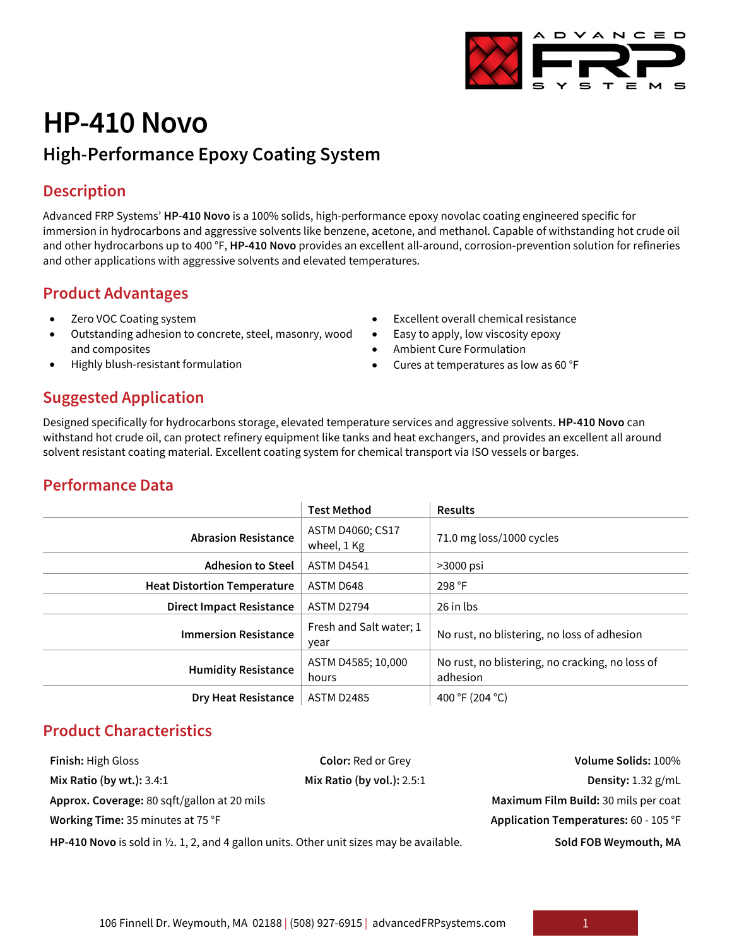

# **HP-410 Novo**

# **High-Performance Epoxy Coating System**

# **Description**

Advanced FRP Systems' **HP-410 Novo** is a 100% solids, high-performance epoxy novolac coating engineered specific for immersion in hydrocarbons and aggressive solvents like benzene, acetone, and methanol. Capable of withstanding hot crude oil and other hydrocarbons up to 400 °F, **HP-410 Novo** provides an excellent all-around, corrosion-prevention solution for refineries and other applications with aggressive solvents and elevated temperatures.

### **Product Advantages**

- Zero VOC Coating system
- Outstanding adhesion to concrete, steel, masonry, wood and composites
- Highly blush-resistant formulation
- Excellent overall chemical resistance
- Easy to apply, low viscosity epoxy
- Ambient Cure Formulation
- Cures at temperatures as low as 60 °F

# **Suggested Application**

Designed specifically for hydrocarbons storage, elevated temperature services and aggressive solvents. **HP-410 Novo** can withstand hot crude oil, can protect refinery equipment like tanks and heat exchangers, and provides an excellent all around solvent resistant coating material. Excellent coating system for chemical transport via ISO vessels or barges.

# **Performance Data**

|                                    | <b>Test Method</b>              | <b>Results</b>                                              |  |
|------------------------------------|---------------------------------|-------------------------------------------------------------|--|
| <b>Abrasion Resistance</b>         | ASTM D4060; CS17<br>wheel, 1 Kg | 71.0 mg loss/1000 cycles                                    |  |
| <b>Adhesion to Steel</b>           | <b>ASTM D4541</b>               | $>3000$ psi                                                 |  |
| <b>Heat Distortion Temperature</b> | ASTM D648                       | 298 °F                                                      |  |
| <b>Direct Impact Resistance</b>    | <b>ASTM D2794</b>               | 26 in lbs                                                   |  |
| <b>Immersion Resistance</b>        | Fresh and Salt water; 1<br>year | No rust, no blistering, no loss of adhesion                 |  |
| <b>Humidity Resistance</b>         | ASTM D4585; 10,000<br>hours     | No rust, no blistering, no cracking, no loss of<br>adhesion |  |
| <b>Dry Heat Resistance</b>         | <b>ASTM D2485</b>               | 400 °F (204 °C)                                             |  |

# **Product Characteristics**

| <b>Finish:</b> High Gloss                                                                           | <b>Color: Red or Grey</b>    | Volume Solids: 100%                   |
|-----------------------------------------------------------------------------------------------------|------------------------------|---------------------------------------|
| Mix Ratio (by wt.): $3.4:1$                                                                         | Mix Ratio (by vol.): $2.5:1$ | Density: $1.32$ g/mL                  |
| Approx. Coverage: 80 sqft/gallon at 20 mils                                                         |                              | Maximum Film Build: 30 mils per coat  |
| Working Time: 35 minutes at 75 °F                                                                   |                              | Application Temperatures: 60 - 105 °F |
| HP-410 Novo is sold in $\frac{1}{2}$ , 1, 2, and 4 gallon units. Other unit sizes may be available. |                              | Sold FOB Weymouth, MA                 |

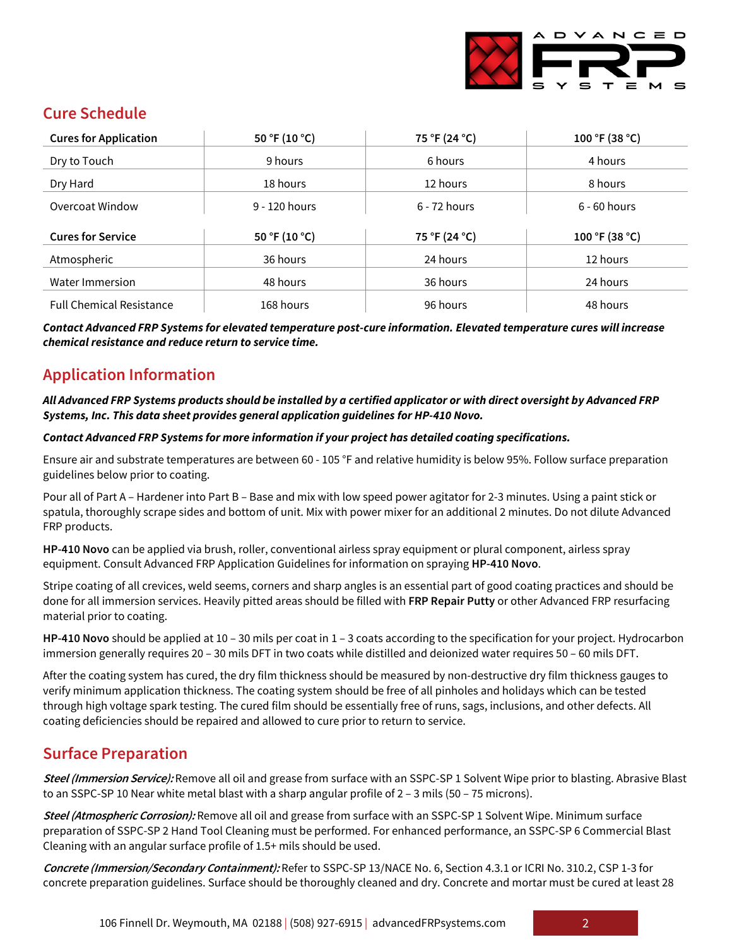

# **Cure Schedule**

| <b>Cures for Application</b>    | 50 °F (10 °C) | 75 °F (24 °C)  | 100 °F (38 °C) |
|---------------------------------|---------------|----------------|----------------|
| Dry to Touch                    | 9 hours       | 6 hours        | 4 hours        |
| Dry Hard                        | 18 hours      | 12 hours       | 8 hours        |
| Overcoat Window                 | 9 - 120 hours | $6 - 72$ hours | $6 - 60$ hours |
| <b>Cures for Service</b>        | 50 °F (10 °C) | 75 °F (24 °C)  | 100 °F (38 °C) |
|                                 |               |                |                |
| Atmospheric                     | 36 hours      | 24 hours       | 12 hours       |
| Water Immersion                 | 48 hours      | 36 hours       | 24 hours       |
| <b>Full Chemical Resistance</b> | 168 hours     | 96 hours       | 48 hours       |

*Contact Advanced FRP Systems for elevated temperature post-cure information. Elevated temperature cures will increase chemical resistance and reduce return to service time.*

# **Application Information**

#### *All Advanced FRP Systems products should be installed by a certified applicator or with direct oversight by Advanced FRP Systems, Inc. This data sheet provides general application guidelines for HP-410 Novo.*

#### *Contact Advanced FRP Systems for more information if your project has detailed coating specifications.*

Ensure air and substrate temperatures are between 60 - 105 °F and relative humidity is below 95%. Follow surface preparation guidelines below prior to coating.

Pour all of Part A – Hardener into Part B – Base and mix with low speed power agitator for 2-3 minutes. Using a paint stick or spatula, thoroughly scrape sides and bottom of unit. Mix with power mixer for an additional 2 minutes. Do not dilute Advanced FRP products.

**HP-410 Novo** can be applied via brush, roller, conventional airless spray equipment or plural component, airless spray equipment. Consult Advanced FRP Application Guidelines for information on spraying **HP-410 Novo**.

Stripe coating of all crevices, weld seems, corners and sharp angles is an essential part of good coating practices and should be done for all immersion services. Heavily pitted areas should be filled with **FRP Repair Putty** or other Advanced FRP resurfacing material prior to coating.

**HP-410 Novo** should be applied at 10 – 30 mils per coat in 1 – 3 coats according to the specification for your project. Hydrocarbon immersion generally requires 20 – 30 mils DFT in two coats while distilled and deionized water requires 50 – 60 mils DFT.

After the coating system has cured, the dry film thickness should be measured by non-destructive dry film thickness gauges to verify minimum application thickness. The coating system should be free of all pinholes and holidays which can be tested through high voltage spark testing. The cured film should be essentially free of runs, sags, inclusions, and other defects. All coating deficiencies should be repaired and allowed to cure prior to return to service.

#### **Surface Preparation**

**Steel (Immersion Service):** Remove all oil and grease from surface with an SSPC-SP 1 Solvent Wipe prior to blasting. Abrasive Blast to an SSPC-SP 10 Near white metal blast with a sharp angular profile of 2 – 3 mils (50 – 75 microns).

**Steel (Atmospheric Corrosion):** Remove all oil and grease from surface with an SSPC-SP 1 Solvent Wipe. Minimum surface preparation of SSPC-SP 2 Hand Tool Cleaning must be performed. For enhanced performance, an SSPC-SP 6 Commercial Blast Cleaning with an angular surface profile of 1.5+ mils should be used.

**Concrete (Immersion/Secondary Containment):** Refer to SSPC-SP 13/NACE No. 6, Section 4.3.1 or ICRI No. 310.2, CSP 1-3 for concrete preparation guidelines. Surface should be thoroughly cleaned and dry. Concrete and mortar must be cured at least 28